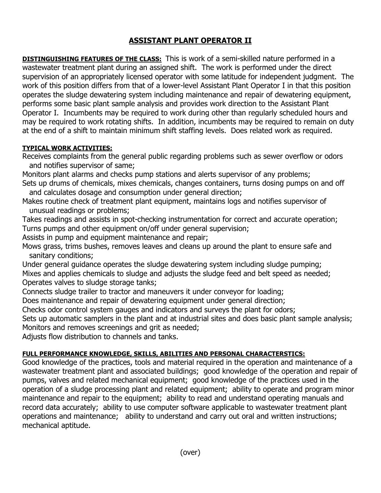## **ASSISTANT PLANT OPERATOR II**

**DISTINGUISHING FEATURES OF THE CLASS:** This is work of a semi-skilled nature performed in a wastewater treatment plant during an assigned shift. The work is performed under the direct supervision of an appropriately licensed operator with some latitude for independent judgment. The work of this position differs from that of a lower-level Assistant Plant Operator I in that this position operates the sludge dewatering system including maintenance and repair of dewatering equipment, performs some basic plant sample analysis and provides work direction to the Assistant Plant Operator I. Incumbents may be required to work during other than regularly scheduled hours and may be required to work rotating shifts. In addition, incumbents may be required to remain on duty at the end of a shift to maintain minimum shift staffing levels. Does related work as required.

## **TYPICAL WORK ACTIVITIES:**

Receives complaints from the general public regarding problems such as sewer overflow or odors and notifies supervisor of same;

Monitors plant alarms and checks pump stations and alerts supervisor of any problems; Sets up drums of chemicals, mixes chemicals, changes containers, turns dosing pumps on and off

and calculates dosage and consumption under general direction;

Makes routine check of treatment plant equipment, maintains logs and notifies supervisor of unusual readings or problems;

Takes readings and assists in spot-checking instrumentation for correct and accurate operation; Turns pumps and other equipment on/off under general supervision;

Assists in pump and equipment maintenance and repair;

Mows grass, trims bushes, removes leaves and cleans up around the plant to ensure safe and sanitary conditions;

Under general guidance operates the sludge dewatering system including sludge pumping; Mixes and applies chemicals to sludge and adjusts the sludge feed and belt speed as needed; Operates valves to sludge storage tanks;

Connects sludge trailer to tractor and maneuvers it under conveyor for loading;

Does maintenance and repair of dewatering equipment under general direction;

Checks odor control system gauges and indicators and surveys the plant for odors;

Sets up automatic samplers in the plant and at industrial sites and does basic plant sample analysis; Monitors and removes screenings and grit as needed;

Adjusts flow distribution to channels and tanks.

## **FULL PERFORMANCE KNOWLEDGE, SKILLS, ABILITIES AND PERSONAL CHARACTERSTICS:**

Good knowledge of the practices, tools and material required in the operation and maintenance of a wastewater treatment plant and associated buildings; good knowledge of the operation and repair of pumps, valves and related mechanical equipment; good knowledge of the practices used in the operation of a sludge processing plant and related equipment; ability to operate and program minor maintenance and repair to the equipment; ability to read and understand operating manuals and record data accurately; ability to use computer software applicable to wastewater treatment plant operations and maintenance; ability to understand and carry out oral and written instructions; mechanical aptitude.